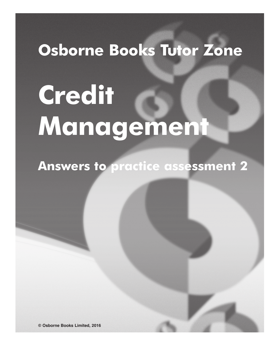# **Osborne Books Tutor Zone**

# **Credit Management**

**Answers to practice assessment 2**

**© Osborne Books Limited, 2016**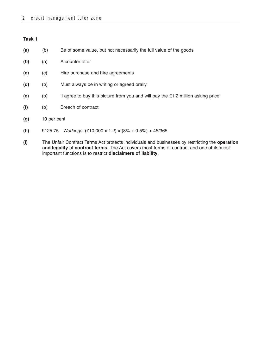- **(a)** (b) Be of some value, but not necessarily the full value of the goods
- **(b)** (a) A counter offer
- **(c)** (c) Hire purchase and hire agreements
- **(d)** (b) Must always be in writing or agreed orally
- **(e)** (b) 'I agree to buy this picture from you and will pay the £1.2 million asking price'
- **(f)** (b) Breach of contract
- **(g)** 10 per cent
- **(h)** £125.75 Workings: (£10,000 x 1.2) x (8% + 0.5%) + 45/365
- **(i)** The Unfair Contract Terms Act protects individuals and businesses by restricting the **operation and legality** of **contract terms**. The Act covers most forms of contract and one of its most important functions is to restrict **disclaimers of liability**.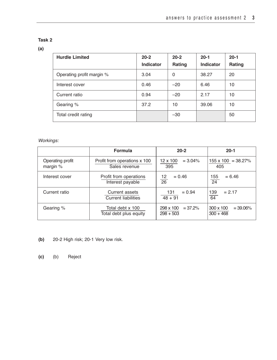# **(a)**

| <b>Hurdle Limited</b>     | $20 - 2$<br><b>Indicator</b> | $20 - 2$<br>Rating | $20-1$<br><b>Indicator</b> | $20 - 1$<br>Rating |
|---------------------------|------------------------------|--------------------|----------------------------|--------------------|
| Operating profit margin % | 3.04                         | 0                  | 38.27                      | 20                 |
| Interest cover            | 0.46                         | $-20$              | 6.46                       | 10                 |
| Current ratio             | 0.94                         | $-20$              | 2.17                       | 10                 |
| Gearing %                 | 37.2                         | 10                 | 39.06                      | 10                 |
| Total credit rating       |                              | $-30$              |                            | 50                 |

Workings:

|                              | <b>Formula</b>                                | $20-2$                                | $20-1$                                         |
|------------------------------|-----------------------------------------------|---------------------------------------|------------------------------------------------|
| Operating profit<br>margin % | Profit from operations x 100<br>Sales revenue | $12 \times 100$<br>$= 3.04\%$<br>395  | $155 \times 100 = 38.27\%$<br>405              |
| Interest cover               | Profit from operations<br>Interest payable    | $= 0.46$<br>12<br>26                  | $= 6.46$<br>155<br>$\overline{24}$             |
| Current ratio                | Current assets<br><b>Current liabilities</b>  | 131<br>$= 0.94$<br>$48 + 91$          | $= 2.17$<br>139<br>64                          |
| Gearing %                    | Total debt x 100<br>Total debt plus equity    | 298 x 100<br>$= 37.2%$<br>$298 + 503$ | $300 \times 100$<br>$= 39.06\%$<br>$300 + 468$ |

- **(b)** 20-2 High risk; 20-1 Very low risk.
- **(c)** (b) Reject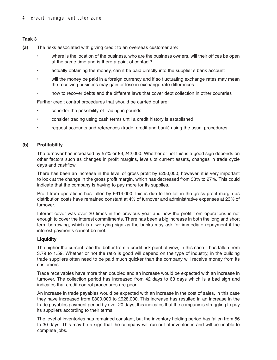- **(a)** The risks associated with giving credit to an overseas customer are:
	- where is the location of the business, who are the business owners, will their offices be open at the same time and is there a point of contact?
	- actually obtaining the money, can it be paid directly into the supplier's bank account
	- will the money be paid in a foreign currency and if so fluctuating exchange rates may mean the receiving business may gain or lose in exchange rate differences
	- how to recover debts and the different laws that cover debt collection in other countries

Further credit control procedures that should be carried out are:

- consider the possibility of trading in pounds
- consider trading using cash terms until a credit history is established
- request accounts and references (trade, credit and bank) using the usual procedures

# **(b) Profitability**

The turnover has increased by 57% or £3,242,000. Whether or not this is a good sign depends on other factors such as changes in profit margins, levels of current assets, changes in trade cycle days and cashflow.

There has been an increase in the level of gross profit by £250,000; however, it is very important to look at the change in the gross profit margin, which has decreased from 38% to 27%. This could indicate that the company is having to pay more for its supplies.

Profit from operations has fallen by £614,000, this is due to the fall in the gross profit margin as distribution costs have remained constant at 4% of turnover and administrative expenses at 23% of turnover.

Interest cover was over 20 times in the previous year and now the profit from operations is not enough to cover the interest commitments. There has been a big increase in both the long and short term borrowing, which is a worrying sign as the banks may ask for immediate repayment if the interest payments cannot be met.

#### **Liquidity**

The higher the current ratio the better from a credit risk point of view, in this case it has fallen from 3.79 to 1.59. Whether or not the ratio is good will depend on the type of industry, in the building trade suppliers often need to be paid much quicker than the company will receive money from its customers.

Trade receivables have more than doubled and an increase would be expected with an increase in turnover. The collection period has increased from 42 days to 63 days which is a bad sign and indicates that credit control procedures are poor.

An increase in trade payables would be expected with an increase in the cost of sales, in this case they have increased from £300,000 to £928,000. This increase has resulted in an increase in the trade payables payment period by over 20 days; this indicates that the company is struggling to pay its suppliers according to their terms.

The level of inventories has remained constant, but the inventory holding period has fallen from 56 to 30 days. This may be a sign that the company will run out of inventories and will be unable to complete jobs.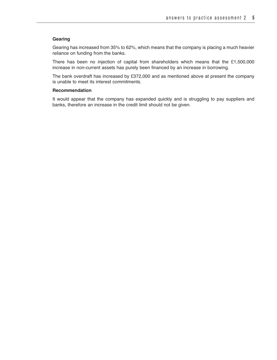# **Gearing**

Gearing has increased from 35% to 62%, which means that the company is placing a much heavier reliance on funding from the banks.

There has been no injection of capital from shareholders which means that the £1,500,000 increase in non-current assets has purely been financed by an increase in borrowing.

The bank overdraft has increased by £372,000 and as mentioned above at present the company is unable to meet its interest commitments.

# **Recommendation**

It would appear that the company has expanded quickly and is struggling to pay suppliers and banks, therefore an increase in the credit limit should not be given.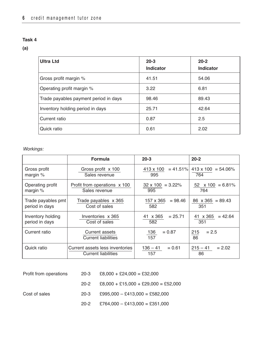**(a)**

| <b>Ultra Ltd</b>                      | $20 - 3$<br>Indicator | $20 - 2$<br>Indicator |
|---------------------------------------|-----------------------|-----------------------|
| Gross profit margin %                 | 41.51                 | 54.06                 |
| Operating profit margin %             | 3.22                  | 6.81                  |
| Trade payables payment period in days | 98.46                 | 89.43                 |
| Inventory holding period in days      | 25.71                 | 42.64                 |
| Current ratio                         | 0.87                  | 2.5                   |
| Quick ratio                           | 0.61                  | 2.02                  |

# Workings:

|                                      | <b>Formula</b>                                                | $20 - 3$                        | $20 - 2$                          |
|--------------------------------------|---------------------------------------------------------------|---------------------------------|-----------------------------------|
| Gross profit<br>margin $%$           | Gross profit x 100<br>Sales revenue                           | $= 41.51\%$<br>413 x 100<br>995 | $413 \times 100 = 54.06\%$<br>764 |
| Operating profit<br>margin $%$       | Profit from operations x 100<br>Sales revenue                 | $32 \times 100 = 3.22\%$<br>995 | $52 \times 100 = 6.81\%$<br>764   |
| Trade payables pmt<br>period in days | Trade payables x 365<br>Cost of sales                         | 157 x 365<br>$= 98.46$<br>582   | $86 \times 365 = 89.43$<br>351    |
| Inventory holding<br>period in days  | Inventories x 365<br>Cost of sales                            | 41 x 365<br>$= 25.71$<br>582    | $= 42.64$<br>41 x 365<br>351      |
| Current ratio                        | Current assets<br><b>Current liabilities</b>                  | 136<br>$= 0.87$<br>157          | $= 2.5$<br>215<br>86              |
| Quick ratio                          | Current assets less inventories<br><b>Current liabilities</b> | $136 - 41$<br>$= 0.61$<br>157   | $215 - 41$<br>$= 2.02$<br>86      |

| Profit from operations | 20-3   | $£8,000 + £24,000 = £32,000$           |
|------------------------|--------|----------------------------------------|
|                        | 20-2   | $£8,000 + £15,000 + £29,000 = £52,000$ |
| Cost of sales          | $20-3$ | $£995,000 - £413,000 = £582,000$       |
|                        | 20-2   | $£764,000 - £413,000 = £351,000$       |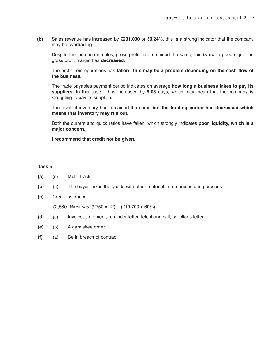**(b)** Sales revenue has increased by £**231,000** or **30.24**%, this **is** a strong indicator that the company may be overtrading.

Despite the increase in sales, gross profit has remained the same, this **is not** a good sign. The gross profit margin has **decreased**.

The profit from operations has **fallen**. **This may be a problem depending on the cash flow of the business.**

The trade payables payment period indicates on average **how long a business takes to pay its suppliers.** In this case it has increased by **9.03** days, which may mean that the company **is** struggling to pay its suppliers.

The level of inventory has remained the same **but the holding period has decreased which means that inventory may run out.**

Both the current and quick ratios have fallen, which strongly indicates **poor liquidity, which is a major concern**.

**I recommend that credit not be given**.

# **Task 5**

- **(a)** (c) Multi Track
- **(b)** (a) The buyer mixes the goods with other material in a manufacturing process
- **(c)** Credit insurance

£2,580 Workings: (£750 x 12) – (£10,700 x 60%)

- **(d)** (c) Invoice, statement, reminder letter, telephone call, solicitor's letter
- **(e)** (b) A garnishee order
- **(f)** (a) Be in breach of contract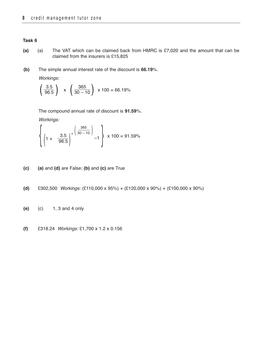- **(a)** (a) The VAT which can be claimed back from HMRC is £7,020 and the amount that can be claimed from the insurers is £15,825
- **(b)** The simple annual interest rate of the discount is **66.19**%.

Workings:

$$
\left(\frac{3.5}{96.5}\right)
$$
 x  $\left(\frac{365}{30-10}\right)$  x 100 = 66.19%

The compound annual rate of discount is **91.59**%.

Workings:

$$
\left\{ \left( 1 + \frac{3.5}{96.5} \right)^{\wedge} \left( \frac{365}{30 - 10} \right) \right\} \times 100 = 91.59\%
$$

- **(c) (a)** and **(d)** are False; **(b)** and **(c)** are True
- **(d)** £302,500 Workings: (£110,000 x 95%) + (£120,000 x 90%) + (£100,000 x 90%)
- **(e)** (c) 1, 3 and 4 only
- **(f)** £318.24 Workings: £1,700 x 1.2 x 0.156